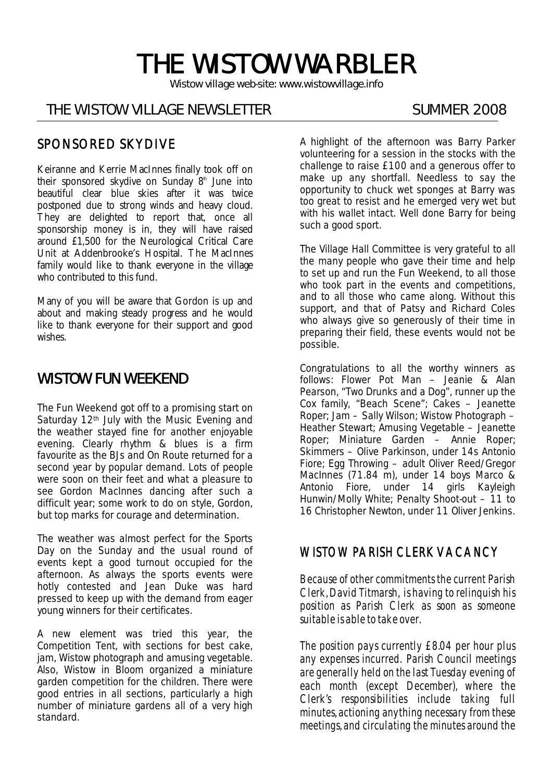# THE WISTOW WARBLER

*Wistow village web-site: www.wistowvillage.info* 

I

# THE WISTOW VILLAGE NEWSLETTER SUMMER 2008

## SPONSORED SKYDIVE

Keiranne and Kerrie MacInnes finally took off on their sponsored skydive on Sunday  $8<sup>th</sup>$  June into beautiful clear blue skies after it was twice postponed due to strong winds and heavy cloud. They are delighted to report that, once all sponsorship money is in, they will have raised around £1,500 for the Neurological Critical Care Unit at Addenbrooke's Hospital. The MacInnes family would like to thank everyone in the village who contributed to this fund.

Many of you will be aware that Gordon is up and about and making steady progress and he would like to thank everyone for their support and good wishes.

# WISTOW FUN WEEKEND

The Fun Weekend got off to a promising start on Saturday 12<sup>th</sup> July with the Music Evening and the weather stayed fine for another enjoyable evening. Clearly rhythm & blues is a firm favourite as the BJs and On Route returned for a second year by popular demand. Lots of people were soon on their feet and what a pleasure to see Gordon MacInnes dancing after such a difficult year; some work to do on style, Gordon, but top marks for courage and determination.

The weather was almost perfect for the Sports Day on the Sunday and the usual round of events kept a good turnout occupied for the afternoon. As always the sports events were hotly contested and Jean Duke was hard pressed to keep up with the demand from eager young winners for their certificates.

A new element was tried this year, the Competition Tent, with sections for best cake, jam, Wistow photograph and amusing vegetable. Also, Wistow in Bloom organized a miniature garden competition for the children. There were good entries in all sections, particularly a high number of miniature gardens all of a very high standard.

A highlight of the afternoon was Barry Parker volunteering for a session in the stocks with the challenge to raise £100 and a generous offer to make up any shortfall. Needless to say the opportunity to chuck wet sponges at Barry was too great to resist and he emerged very wet but with his wallet intact. Well done Barry for being such a good sport.

The Village Hall Committee is very grateful to all the many people who gave their time and help to set up and run the Fun Weekend, to all those who took part in the events and competitions, and to all those who came along. Without this support, and that of Patsy and Richard Coles who always give so generously of their time in preparing their field, these events would not be possible.

Congratulations to all the worthy winners as follows: Flower Pot Man – Jeanie & Alan Pearson, "Two Drunks and a Dog", runner up the Cox family, "Beach Scene"; Cakes – Jeanette Roper; Jam – Sally Wilson; Wistow Photograph – Heather Stewart; Amusing Vegetable – Jeanette Roper; Miniature Garden – Annie Roper; Skimmers – Olive Parkinson, under 14s Antonio Fiore; Egg Throwing – adult Oliver Reed/Gregor MacInnes (71.84 m), under 14 boys Marco & Antonio Fiore, under 14 girls Kayleigh Hunwin/Molly White; Penalty Shoot-out – 11 to 16 Christopher Newton, under 11 Oliver Jenkins.

### WISTOW PARISH CLERK VACANCY

Because of other commitments the current Parish Clerk, David Titmarsh, is having to relinquish his position as Parish Clerk as soon as someone suitable is able to take over.

The position pays currently £8.04 per hour plus any expenses incurred. Parish Council meetings are generally held on the last Tuesday evening of each month (except December), where the Clerk's responsibilities include taking full minutes, actioning anything necessary from these meetings, and circulating the minutes around the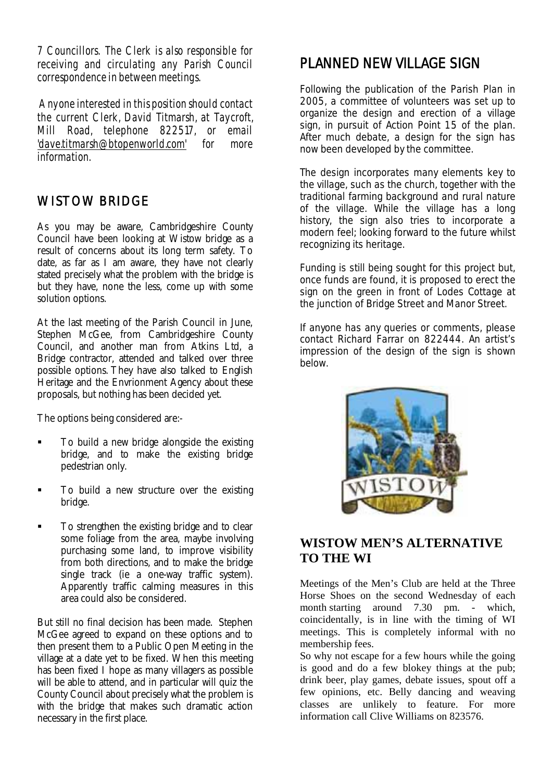7 Councillors. The Clerk is also responsible for receiving and circulating any Parish Council correspondence in between meetings.

 Anyone interested in this position should contact the current Clerk, David Titmarsh, at Taycroft, Mill Road, telephone 822517, or email 'dave.titmarsh@btopenworld.com' for more information.

# WISTOW BRIDGE

As you may be aware, Cambridgeshire County Council have been looking at Wistow bridge as a result of concerns about its long term safety. To date, as far as I am aware, they have not clearly stated precisely what the problem with the bridge is but they have, none the less, come up with some solution options.

At the last meeting of the Parish Council in June, Stephen McGee, from Cambridgeshire County Council, and another man from Atkins Ltd, a Bridge contractor, attended and talked over three possible options. They have also talked to English Heritage and the Envrionment Agency about these proposals, but nothing has been decided yet.

The options being considered are:-

- To build a new bridge alongside the existing bridge, and to make the existing bridge pedestrian only.
- To build a new structure over the existing bridge.
- To strengthen the existing bridge and to clear some foliage from the area, maybe involving purchasing some land, to improve visibility from both directions, and to make the bridge single track (ie a one-way traffic system). Apparently traffic calming measures in this area could also be considered.

But still no final decision has been made. Stephen McGee agreed to expand on these options and to then present them to a Public Open Meeting in the village at a date yet to be fixed. When this meeting has been fixed I hope as many villagers as possible will be able to attend, and in particular will quiz the County Council about precisely what the problem is with the bridge that makes such dramatic action necessary in the first place.

# PLANNED NEW VILLAGE SIGN

Following the publication of the Parish Plan in 2005, a committee of volunteers was set up to organize the design and erection of a village sign, in pursuit of Action Point 15 of the plan. After much debate, a design for the sign has now been developed by the committee.

The design incorporates many elements key to the village, such as the church, together with the traditional farming background and rural nature of the village. While the village has a long history, the sign also tries to incorporate a modern feel; looking forward to the future whilst recognizing its heritage.

Funding is still being sought for this project but, once funds are found, it is proposed to erect the sign on the green in front of Lodes Cottage at the junction of Bridge Street and Manor Street.

If anyone has any queries or comments, please contact Richard Farrar on 822444. An artist's impression of the design of the sign is shown below.



# **WISTOW MEN'S ALTERNATIVE TO THE WI**

Meetings of the Men's Club are held at the Three Horse Shoes on the second Wednesday of each month starting around 7.30 pm. - which, coincidentally, is in line with the timing of WI meetings. This is completely informal with no membership fees.

So why not escape for a few hours while the going is good and do a few blokey things at the pub; drink beer, play games, debate issues, spout off a few opinions, etc. Belly dancing and weaving classes are unlikely to feature. For more information call Clive Williams on 823576.